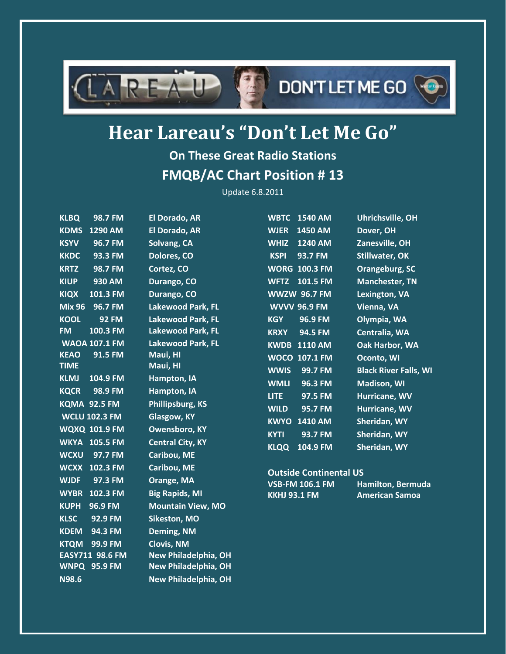

# **DON'T LET ME GO**



## **Hear Lareau's "Don't Let Me Go"**

### **On These Great Radio Stations FMQB/AC Chart Position # 13**

Update 6.8.2011

| <b>KLBQ</b>   | 98.7 FM              | <b>El Dorado, AR</b>        |                     | <b>WBTC 1540 AM</b>           | Uhrichsville, OH             |
|---------------|----------------------|-----------------------------|---------------------|-------------------------------|------------------------------|
| <b>KDMS</b>   | 1290 AM              | <b>El Dorado, AR</b>        | <b>WJER</b>         | 1450 AM                       | Dover, OH                    |
| <b>KSYV</b>   | 96.7 FM              | Solvang, CA                 | <b>WHIZ</b>         | 1240 AM                       | Zanesville, OH               |
| <b>KKDC</b>   | 93.3 FM              | Dolores, CO                 | <b>KSPI</b>         | 93.7 FM                       | <b>Stillwater, OK</b>        |
| <b>KRTZ</b>   | 98.7 FM              | Cortez, CO                  |                     | <b>WORG 100.3 FM</b>          | Orangeburg, SC               |
| <b>KIUP</b>   | 930 AM               | Durango, CO                 | <b>WFTZ</b>         | 101.5 FM                      | <b>Manchester, TN</b>        |
| <b>KIQX</b>   | 101.3 FM             | Durango, CO                 |                     | <b>WWZW 96.7 FM</b>           | Lexington, VA                |
| <b>Mix 96</b> | 96.7 FM              | <b>Lakewood Park, FL</b>    |                     | <b>WVVV 96.9 FM</b>           | Vienna, VA                   |
| <b>KOOL</b>   | <b>92 FM</b>         | <b>Lakewood Park, FL</b>    | <b>KGY</b>          | 96.9 FM                       | Olympia, WA                  |
| <b>FM</b>     | 100.3 FM             | Lakewood Park, FL           | <b>KRXY</b>         | 94.5 FM                       | Centralia, WA                |
|               | <b>WAOA 107.1 FM</b> | Lakewood Park, FL           |                     | <b>KWDB 1110 AM</b>           | Oak Harbor, WA               |
| <b>KEAO</b>   | 91.5 FM              | Maui, HI                    |                     | <b>WOCO 107.1 FM</b>          | Oconto, WI                   |
| <b>TIME</b>   |                      | Maui, HI                    | <b>WWIS</b>         | 99.7 FM                       | <b>Black River Falls, WI</b> |
| <b>KLMJ</b>   | 104.9 FM             | Hampton, IA                 | <b>WMLI</b>         | 96.3 FM                       | <b>Madison, WI</b>           |
| <b>KQCR</b>   | 98.9 FM              | <b>Hampton, IA</b>          | <b>LITE</b>         | 97.5 FM                       | Hurricane, WV                |
|               | <b>KQMA 92.5 FM</b>  | Phillipsburg, KS            | <b>WILD</b>         | 95.7 FM                       | Hurricane, WV                |
|               | <b>WCLU 102.3 FM</b> | <b>Glasgow, KY</b>          | <b>KWYO</b>         | <b>1410 AM</b>                | Sheridan, WY                 |
|               | <b>WQXQ 101.9 FM</b> | <b>Owensboro, KY</b>        | <b>KYTI</b>         | 93.7 FM                       | Sheridan, WY                 |
|               | <b>WKYA 105.5 FM</b> | <b>Central City, KY</b>     | <b>KLQQ</b>         | 104.9 FM                      | Sheridan, WY                 |
| <b>WCXU</b>   | 97.7 FM              | <b>Caribou, ME</b>          |                     |                               |                              |
|               | <b>WCXX 102.3 FM</b> | Caribou, ME                 |                     | <b>Outside Continental US</b> |                              |
| <b>WJDF</b>   | 97.3 FM              | Orange, MA                  |                     | <b>VSB-FM 106.1 FM</b>        | <b>Hamilton, Bermuda</b>     |
| <b>WYBR</b>   | 102.3 FM             | <b>Big Rapids, MI</b>       | <b>KKHJ 93.1 FM</b> |                               | <b>American Samoa</b>        |
| <b>KUPH</b>   | 96.9 FM              | <b>Mountain View, MO</b>    |                     |                               |                              |
| <b>KLSC</b>   | 92.9 FM              | Sikeston, MO                |                     |                               |                              |
| <b>KDEM</b>   | 94.3 FM              | Deming, NM                  |                     |                               |                              |
| <b>KTQM</b>   | 99.9 FM              | <b>Clovis, NM</b>           |                     |                               |                              |
|               | EASY711 98.6 FM      | <b>New Philadelphia, OH</b> |                     |                               |                              |
|               | <b>WNPQ 95.9 FM</b>  | <b>New Philadelphia, OH</b> |                     |                               |                              |
| <b>N98.6</b>  |                      | <b>New Philadelphia, OH</b> |                     |                               |                              |